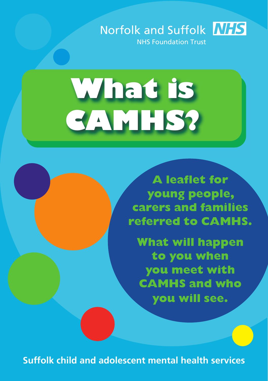

# **What is CAMHS?**

**A leaflet for young people, carers and families referred to CAMHS.**

**What will happen to you when you meet with CAMHS and who you will see.**

**Suffolk child and adolescent mental health services**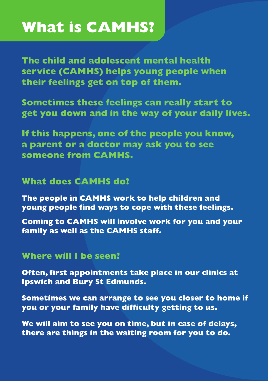# **What is CAMHS?**

**The child and adolescent mental health service (CAMHS) helps young people when their feelings get on top of them.**

**Sometimes these feelings can really start to get you down and in the way of your daily lives.**

**If this happens, one of the people you know, a parent or a doctor may ask you to see someone from CAMHS.**

#### **What does CAMHS do?**

**The people in CAMHS work to help children and young people find ways to cope with these feelings.**

**Coming to CAMHS will involve work for you and your family as well as the CAMHS staff.**

#### **Where will I be seen?**

**Often, first appointments take place in our clinics at Ipswich and Bury St Edmunds.**

**Sometimes we can arrange to see you closer to home if you or your family have difficulty getting to us.**

**We will aim to see you on time, but in case of delays, there are things in the waiting room for you to do.**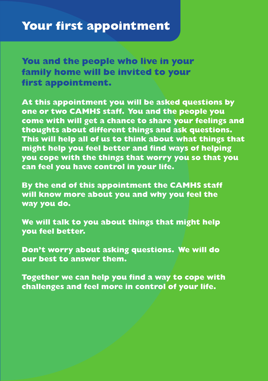**You and the people who live in your family home will be invited to your first appointment.**

**At this appointment you will be asked questions by one or two CAMHS staff. You and the people you come with will get a chance to share your feelings and thoughts about different things and ask questions. This will help all of us to think about what things that might help you feel better and find ways of helping you cope with the things that worry you so that you can feel you have control in your life.**

**By the end of this appointment the CAMHS staff will know more about you and why you feel the way you do.**

**We will talk to you about things that might help you feel better.**

**Don't worry about asking questions. We will do our best to answer them.**

**Together we can help you find a way to cope with challenges and feel more in control of your life.**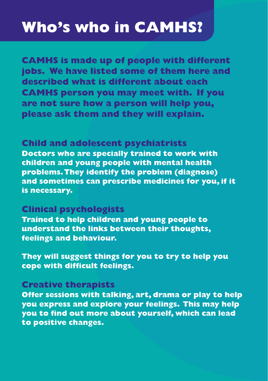# **Who's who in CAMHS?**

**CAMHS is made up of people with different jobs. We have listed some of them here and described what is different about each CAMHS person you may meet with. If you are not sure how a person will help you, please ask them and they will explain.**

#### **Child and adolescent psychiatrists**

**Doctors who are specially trained to work with children and young people with mental health problems.They identify the problem (diagnose) and sometimes can prescribe medicines for you, if it is necessary.**

#### **Clinical psychologists**

**Trained to help children and young people to understand the links between their thoughts, feelings and behaviour.**

**They will suggest things for you to try to help you cope with difficult feelings.**

#### **Creative therapists**

**Offer sessions with talking, art, drama or play to help you express and explore your feelings. This may help you to find out more about yourself, which can lead to positive changes.**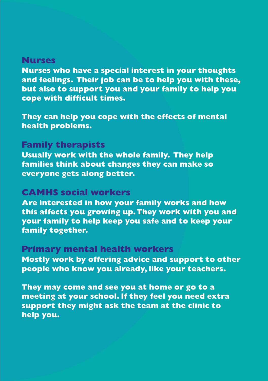#### **Nurses**

**Nurses who have a special interest in your thoughts and feelings. Their job can be to help you with these, but also to support you and your family to help you cope with difficult times.**

**They can help you cope with the effects of mental health problems.**

#### **Family therapists**

**Usually work with the whole family. They help families think about changes they can make so everyone gets along better.**

#### **CAMHS social workers**

**Are interested in how your family works and how this affects you growing up.They work with you and your family to help keep you safe and to keep your family together.**

#### **Primary mental health workers**

**Mostly work by offering advice and support to other people who know you already, like your teachers.**

**They may come and see you at home or go to a meeting at your school. If they feel you need extra support they might ask the team at the clinic to help you.**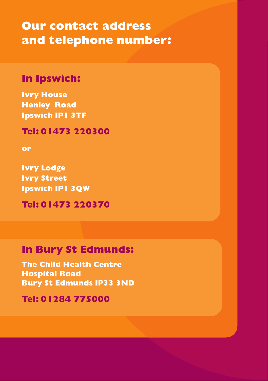**Our contact address and telephone number:**

#### **In Ipswich:**

**Ivry House Henley Road Ipswich IP1 3TF**

**Tel: 01473 220300**

**or**

**Ivry Lodge Ivry Street Ipswich IP1 3QW**

**Tel: 01473 220370**

#### **In Bury St Edmunds:**

**The Child Health Centre Hospital Road Bury St Edmunds IP33 3ND**

**Tel: 01284 775000**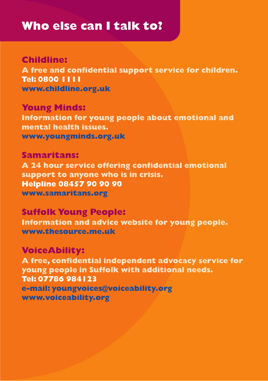## **Who else can I talk to?**

**Childline: A free and confidential support service for children. Tel: 0800 1111 www.childline.org.uk**

**Young Minds: Information for young people about emotional and mental health issues. www.youngminds.org.uk**

**Samaritans: A 24 hour service offering confidential emotional support to anyone who is in crisis. Helpline 08457 90 90 90 www.samaritans.org**

**Suffolk Young People: Information and advice website for young people. www.thesource.me.uk**

### **VoiceAbility: A free, confidential independent advocacy service for young people in Suffolk with additional needs. Tel: 07786 984123 e-mail: youngvoices@voiceability.org www.voiceability.org**